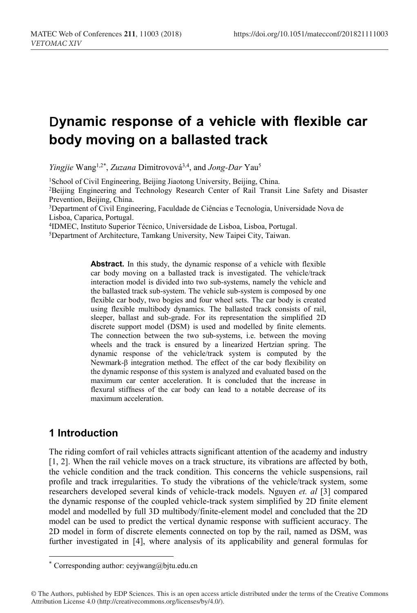# **Dynamic response of a vehicle with flexible car body moving on a ballasted track**

Yingjie Wang<sup>1,2\*</sup>, Zuzana Dimitrovová<sup>3,4</sup>, and *Jong-Dar* Yau<sup>5</sup>

<sup>1</sup>School of Civil Engineering, Beijing Jiaotong University, Beijing, China.

2Beijing Engineering and Technology Research Center of Rail Transit Line Safety and Disaster Prevention, Beijing, China.

3Department of Civil Engineering, Faculdade de Ciências e Tecnologia, Universidade Nova de Lisboa, Caparica, Portugal.

4IDMEC, Instituto Superior Técnico, Universidade de Lisboa, Lisboa, Portugal.

5Department of Architecture, Tamkang University, New Taipei City, Taiwan.

**Abstract.** In this study, the dynamic response of a vehicle with flexible car body moving on a ballasted track is investigated. The vehicle/track interaction model is divided into two sub-systems, namely the vehicle and the ballasted track sub-system. The vehicle sub-system is composed by one flexible car body, two bogies and four wheel sets. The car body is created using flexible multibody dynamics. The ballasted track consists of rail, sleeper, ballast and sub-grade. For its representation the simplified 2D discrete support model (DSM) is used and modelled by finite elements. The connection between the two sub-systems, i.e. between the moving wheels and the track is ensured by a linearized Hertzian spring. The dynamic response of the vehicle/track system is computed by the Newmark-β integration method. The effect of the car body flexibility on the dynamic response of this system is analyzed and evaluated based on the maximum car center acceleration. It is concluded that the increase in flexural stiffness of the car body can lead to a notable decrease of its maximum acceleration.

## **1 Introduction**

 $\overline{a}$ 

The riding comfort of rail vehicles attracts significant attention of the academy and industry [1, 2]. When the rail vehicle moves on a track structure, its vibrations are affected by both, the vehicle condition and the track condition. This concerns the vehicle suspensions, rail profile and track irregularities. To study the vibrations of the vehicle/track system, some researchers developed several kinds of vehicle-track models. Nguyen *et. al* [3] compared the dynamic response of the coupled vehicle-track system simplified by 2D finite element model and modelled by full 3D multibody/finite-element model and concluded that the 2D model can be used to predict the vertical dynamic response with sufficient accuracy. The 2D model in form of discrete elements connected on top by the rail, named as DSM, was further investigated in [4], where analysis of its applicability and general formulas for

<sup>\*</sup> Corresponding author: ceyjwang@bjtu.edu.cn

<sup>©</sup> The Authors, published by EDP Sciences. This is an open access article distributed under the terms of the Creative Commons Attribution License 4.0 (http://creativecommons.org/licenses/by/4.0/).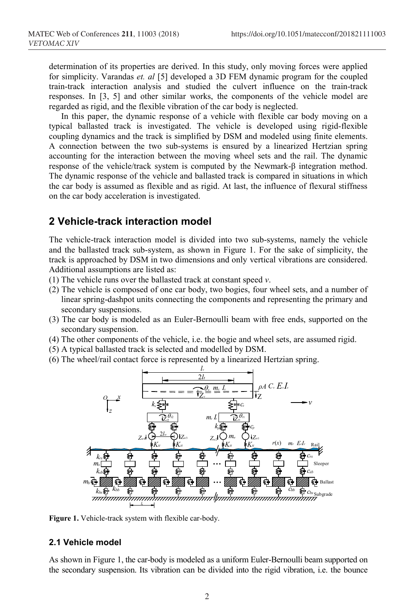determination of its properties are derived. In this study, only moving forces were applied for simplicity. Varandas *et. al* [5] developed a 3D FEM dynamic program for the coupled train-track interaction analysis and studied the culvert influence on the train-track responses. In [3, 5] and other similar works, the components of the vehicle model are regarded as rigid, and the flexible vibration of the car body is neglected.

In this paper, the dynamic response of a vehicle with flexible car body moving on a typical ballasted track is investigated. The vehicle is developed using rigid-flexible coupling dynamics and the track is simplified by DSM and modeled using finite elements. A connection between the two sub-systems is ensured by a linearized Hertzian spring accounting for the interaction between the moving wheel sets and the rail. The dynamic response of the vehicle/track system is computed by the Newmark-β integration method. The dynamic response of the vehicle and ballasted track is compared in situations in which the car body is assumed as flexible and as rigid. At last, the influence of flexural stiffness on the car body acceleration is investigated.

#### **2 Vehicle-track interaction model**

The vehicle-track interaction model is divided into two sub-systems, namely the vehicle and the ballasted track sub-system, as shown in Figure 1. For the sake of simplicity, the track is approached by DSM in two dimensions and only vertical vibrations are considered. Additional assumptions are listed as:

- (1) The vehicle runs over the ballasted track at constant speed *v*.
- (2) The vehicle is composed of one car body, two bogies, four wheel sets, and a number of linear spring-dashpot units connecting the components and representing the primary and secondary suspensions.
- (3) The car body is modeled as an Euler-Bernoulli beam with free ends, supported on the secondary suspension.
- (4) The other components of the vehicle, i.e. the bogie and wheel sets, are assumed rigid.
- (5) A typical ballasted track is selected and modelled by DSM.
- (6) The wheel/rail contact force is represented by a linearized Hertzian spring.



**Figure 1.** Vehicle-track system with flexible car-body.

#### **2.1 Vehicle model**

As shown in Figure 1, the car-body is modeled as a uniform Euler-Bernoulli beam supported on the secondary suspension. Its vibration can be divided into the rigid vibration, i.e. the bounce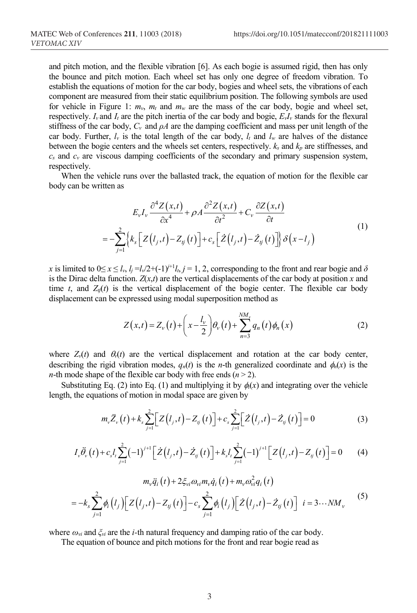and pitch motion, and the flexible vibration [6]. As each bogie is assumed rigid, then has only the bounce and pitch motion. Each wheel set has only one degree of freedom vibration. To establish the equations of motion for the car body, bogies and wheel sets, the vibrations of each component are measured from their static equilibrium position. The following symbols are used for vehicle in Figure 1:  $m_v$ ,  $m_t$  and  $m_w$  are the mass of the car body, bogie and wheel set, respectively.  $I_v$  and  $I_t$  are the pitch inertia of the car body and bogie,  $E_vI_v$  stands for the flexural stiffness of the car body,  $C_v$  and  $\rho A$  are the damping coefficient and mass per unit length of the car body. Further,  $l_v$  is the total length of the car body,  $l_t$  and  $l_w$  are halves of the distance between the bogie centers and the wheels set centers, respectively. *ks* and *kp* are stiffnesses, and  $c_s$  and  $c_v$  are viscous damping coefficients of the secondary and primary suspension system, respectively.

When the vehicle runs over the ballasted track, the equation of motion for the flexible car body can be written as

$$
E_{\nu}I_{\nu}\frac{\partial^4 Z(x,t)}{\partial x^4} + \rho A \frac{\partial^2 Z(x,t)}{\partial t^2} + C_{\nu}\frac{\partial Z(x,t)}{\partial t}
$$
  
= 
$$
-\sum_{j=1}^2 \left\{ k_s \left[ Z(t_j,t) - Z_{ij}(t) \right] + c_s \left[ \dot{Z}(t_j,t) - \dot{Z}_{ij}(t) \right] \right\} \delta(x-t_j)
$$
 (1)

*x* is limited to  $0 \le x \le l_v$ ,  $l_i = l_v/2 + (-1)^{i+1}l_t$ ,  $j = 1, 2$ , corresponding to the front and rear bogie and  $\delta$ is the Dirac delta function.  $Z(x,t)$  are the vertical displacements of the car body at position  $x$  and time *t*, and  $Z_{ij}(t)$  is the vertical displacement of the bogie center. The flexible car body displacement can be expressed using modal superposition method as

$$
Z(x,t) = Z_{\nu}(t) + \left(x - \frac{l_{\nu}}{2}\right) \theta_{\nu}(t) + \sum_{n=3}^{NM_{\nu}} q_n(t) \phi_n(x)
$$
 (2)

where  $Z_{\nu}(t)$  and  $\theta_{\nu}(t)$  are the vertical displacement and rotation at the car body center, describing the rigid vibration modes,  $q_n(t)$  is the *n*-th generalized coordinate and  $\phi_n(x)$  is the *n*-th mode shape of the flexible car body with free ends  $(n > 2)$ .

Substituting Eq. (2) into Eq. (1) and multiplying it by  $\phi_i(x)$  and integrating over the vehicle length, the equations of motion in modal space are given by

$$
m_{\nu}\ddot{Z}_{\nu}(t) + k_{s} \sum_{j=1}^{2} \Big[ Z(l_{j}, t) - Z_{ij}(t) \Big] + c_{s} \sum_{j=1}^{2} \Big[ \dot{Z}(l_{j}, t) - \dot{Z}_{ij}(t) \Big] = 0 \tag{3}
$$

$$
I_{\nu}\ddot{\theta}_{\nu}(t) + c_{s}I_{t}\sum_{j=1}^{2}(-1)^{j+1}\left[\dot{Z}(l_{j},t) - \dot{Z}_{ij}(t)\right] + k_{s}I_{t}\sum_{j=1}^{2}(-1)^{j+1}\left[Z(l_{j},t) - Z_{ij}(t)\right] = 0 \tag{4}
$$

$$
m_{\nu}\ddot{q}_i(t) + 2\xi_{\nu i}\omega_{\nu i}m_{\nu}\dot{q}_i(t) + m_{\nu}\omega_{\nu i}^2q_i(t)
$$
  
= 
$$
-k_s \sum_{j=1}^2 \phi_i\left(l_j\right) \left[Z\left(l_j,t\right) - Z_{ij}\left(t\right)\right] - c_s \sum_{j=1}^2 \phi_i\left(l_j\right) \left[Z\left(l_j,t\right) - \dot{Z}_{ij}\left(t\right)\right] \quad i = 3 \cdots NM_{\nu}
$$
 (5)

where *ωvi* and *ξvi* are the *i-*th natural frequency and damping ratio of the car body.

The equation of bounce and pitch motions for the front and rear bogie read as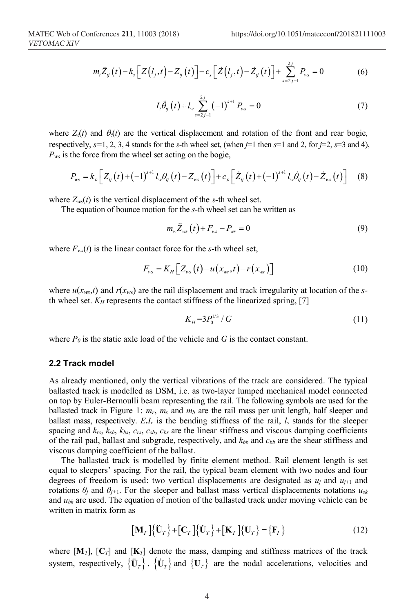$$
m_{t}\ddot{Z}_{ij}(t) - k_{s}\big[Z\big(l_{j},t\big) - Z_{ij}(t)\big] - c_{s}\big[\dot{Z}\big(l_{j},t\big) - \dot{Z}_{ij}(t)\big] + \sum_{s=2j-1}^{2j} P_{ws} = 0
$$
 (6)

$$
I_{t}\ddot{\theta}_{ij}(t) + I_{w} \sum_{s=2j-1}^{2j} (-1)^{s+1} P_{ws} = 0
$$
 (7)

where  $Z_{\nu}(t)$  and  $\theta_{\nu}(t)$  are the vertical displacement and rotation of the front and rear bogie, respectively,  $s=1, 2, 3, 4$  stands for the *s*-th wheel set, (when  $j=1$  then  $s=1$  and 2, for  $j=2$ ,  $s=3$  and 4), *Pws* is the force from the wheel set acting on the bogie,

$$
P_{\text{ws}} = k_p \left[ Z_{ij}(t) + (-1)^{s+1} l_{w} \theta_{ij}(t) - Z_{\text{ws}}(t) \right] + c_p \left[ \dot{Z}_{ij}(t) + (-1)^{s+1} l_{w} \dot{\theta}_{ij}(t) - \dot{Z}_{\text{ws}}(t) \right] \tag{8}
$$

where  $Z_{ws}(t)$  is the vertical displacement of the *s*-th wheel set.

The equation of bounce motion for the *s-*th wheel set can be written as

$$
m_{w}\ddot{Z}_{ws}(t) + F_{ws} - P_{ws} = 0 \tag{9}
$$

where  $F_{ws}(t)$  is the linear contact force for the *s*-th wheel set,

$$
F_{\rm ws} = K_H \Big[ Z_{\rm ws} \left( t \right) - u \left( x_{\rm ws}, t \right) - r \left( x_{\rm ws} \right) \Big] \tag{10}
$$

where  $u(x_{ws},t)$  and  $r(x_{ws})$  are the rail displacement and track irregularity at location of the *s*th wheel set.  $K_H$  represents the contact stiffness of the linearized spring, [7]

$$
K_{H} = 3P_{0}^{1/3} / G \tag{11}
$$

where  $P_0$  is the static axle load of the vehicle and  $G$  is the contact constant.

#### **2.2 Track model**

As already mentioned, only the vertical vibrations of the track are considered. The typical ballasted track is modelled as DSM, i.e. as two-layer lumped mechanical model connected on top by Euler-Bernoulli beam representing the rail. The following symbols are used for the ballasted track in Figure 1: *mr*, *ms* and *mb* are the rail mass per unit length, half sleeper and ballast mass, respectively. *ErIr* is the bending stiffness of the rail, *ls* stands for the sleeper spacing and  $k_{rs}$ ,  $k_{sb}$ ,  $k_{bs}$ ,  $c_{rs}$ ,  $c_{sb}$ ,  $c_{bs}$  are the linear stiffness and viscous damping coefficients of the rail pad, ballast and subgrade, respectively, and *kbb* and *cbb* are the shear stiffness and viscous damping coefficient of the ballast.

The ballasted track is modelled by finite element method. Rail element length is set equal to sleepers' spacing. For the rail, the typical beam element with two nodes and four degrees of freedom is used: two vertical displacements are designated as  $u_i$  and  $u_{i+1}$  and rotations  $\theta_j$  and  $\theta_{j+1}$ . For the sleeper and ballast mass vertical displacements notations  $u_{sk}$ and *ubk* are used. The equation of motion of the ballasted track under moving vehicle can be written in matrix form as

$$
\left[\mathbf{M}_{T}\right]\left\{\ddot{\mathbf{U}}_{T}\right\}+\left[\mathbf{C}_{T}\right]\left\{\dot{\mathbf{U}}_{T}\right\}+\left[\mathbf{K}_{T}\right]\left\{\mathbf{U}_{T}\right\}=\left\{\mathbf{F}_{T}\right\}
$$
\n(12)

where  $[\mathbf{M}_T]$ ,  $[\mathbf{C}_T]$  and  $[\mathbf{K}_T]$  denote the mass, damping and stiffness matrices of the track system, respectively,  ${\{\mathbf{U}_T\}}$ ,  ${\{\mathbf{U}_T\}}$  and  ${\{\mathbf{U}_T\}}$  are the nodal accelerations, velocities and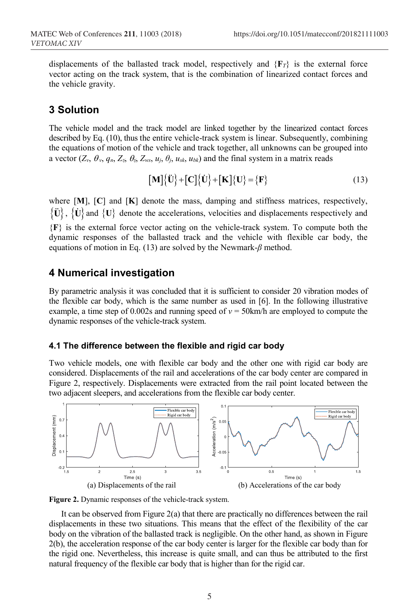displacements of the ballasted track model, respectively and  ${F_{\tau}}$  is the external force vector acting on the track system, that is the combination of linearized contact forces and the vehicle gravity.

#### **3 Solution**

The vehicle model and the track model are linked together by the linearized contact forces described by Eq. (10), thus the entire vehicle-track system is linear. Subsequently, combining the equations of motion of the vehicle and track together, all unknowns can be grouped into a vector  $(Z_v, \theta_v, q_n, Z_v, \theta_v, Z_{ws}, u_i, \theta_i, u_{sk}, u_{bk})$  and the final system in a matrix reads

$$
[\mathbf{M}\{\ddot{\mathbf{U}}\} + [\mathbf{C}]\{\dot{\mathbf{U}}\} + [\mathbf{K}]\{\mathbf{U}\} = \{\mathbf{F}\}\
$$
 (13)

where [**M**], [**C**] and [**K**] denote the mass, damping and stiffness matrices, respectively,  $\{U\}$ ,  $\{U\}$  and  $\{U\}$  denote the accelerations, velocities and displacements respectively and {**F**} is the external force vector acting on the vehicle-track system. To compute both the dynamic responses of the ballasted track and the vehicle with flexible car body, the equations of motion in Eq. (13) are solved by the Newmark-*β* method.

#### **4 Numerical investigation**

By parametric analysis it was concluded that it is sufficient to consider 20 vibration modes of the flexible car body, which is the same number as used in [6]. In the following illustrative example, a time step of 0.002s and running speed of  $v = 50$ km/h are employed to compute the dynamic responses of the vehicle-track system.

#### **4.1 The difference between the flexible and rigid car body**

Two vehicle models, one with flexible car body and the other one with rigid car body are considered. Displacements of the rail and accelerations of the car body center are compared in Figure 2, respectively. Displacements were extracted from the rail point located between the two adjacent sleepers, and accelerations from the flexible car body center.



**Figure 2.** Dynamic responses of the vehicle-track system.

It can be observed from Figure  $2(a)$  that there are practically no differences between the rail displacements in these two situations. This means that the effect of the flexibility of the car body on the vibration of the ballasted track is negligible. On the other hand, as shown in Figure 2(b), the acceleration response of the car body center is larger for the flexible car body than for the rigid one. Nevertheless, this increase is quite small, and can thus be attributed to the first natural frequency of the flexible car body that is higher than for the rigid car.